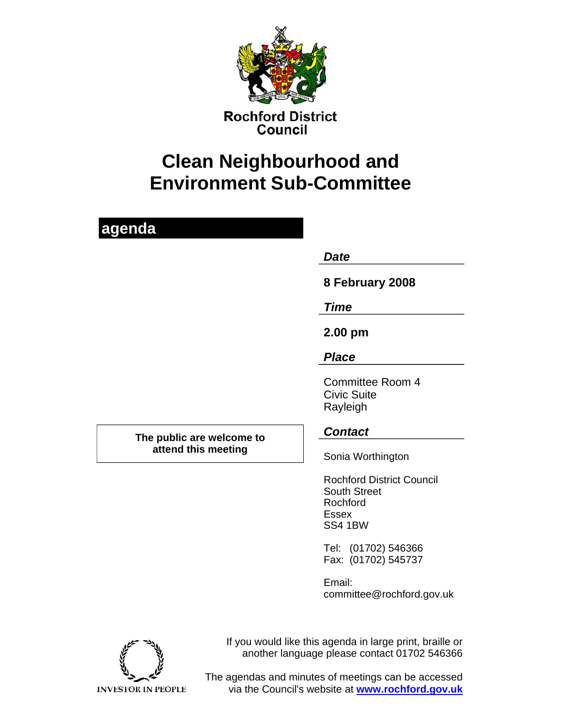

**Rochford District** Council

# **Clean Neighbourhood and Environment Sub-Committee**

## **agenda**

*Date* 

**8 February 2008** 

*Time* 

**2.00 pm** 

### *Place*

Committee Room 4 Civic Suite Rayleigh

*Contact* **The public are welcome to attend this meeting Theory Sonia Worthington** 

Rochford District Council South Street Rochford Essex SS4 1BW

Tel: (01702) 546366 Fax: (01702) 545737

Email: committee@rochford.gov.uk

If you would like this agenda in large print, braille or another language please contact 01702 546366



The agendas and minutes of meetings can be accessed via the Council's website at **www.rochford.gov.uk**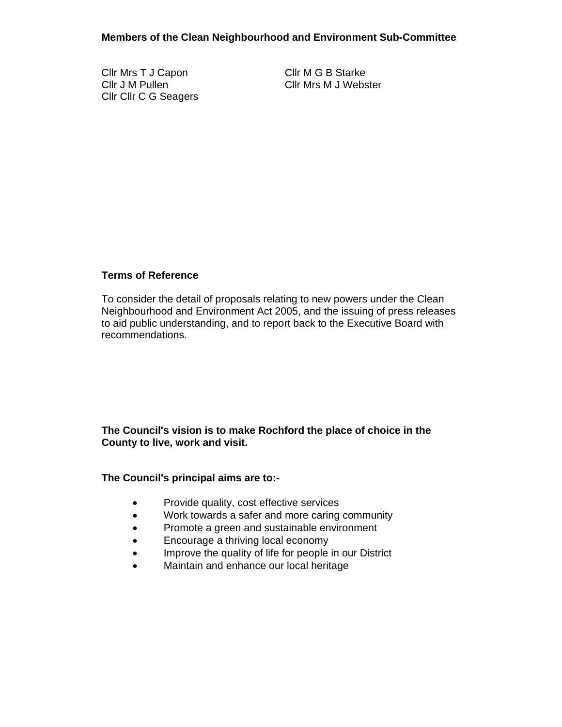Cllr Mrs T J Capon Cllr M G B Starke Cllr Cllr C G Seagers

Cllr J M Pullen Cllr Mrs M J Webster

#### **Terms of Reference**

To consider the detail of proposals relating to new powers under the Clean Neighbourhood and Environment Act 2005, and the issuing of press releases to aid public understanding, and to report back to the Executive Board with recommendations.

#### **The Council's vision is to make Rochford the place of choice in the County to live, work and visit.**

#### **The Council's principal aims are to:-**

- Provide quality, cost effective services
- Work towards a safer and more caring community
- Promote a green and sustainable environment
- Encourage a thriving local economy
- Improve the quality of life for people in our District
- Maintain and enhance our local heritage